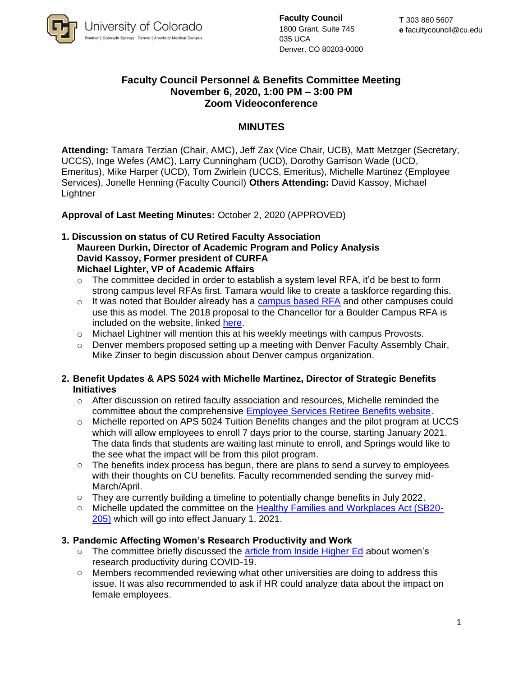

**Faculty Council** 1800 Grant, Suite 745 035 UCA Denver, CO 80203-0000

# **Faculty Council Personnel & Benefits Committee Meeting November 6, 2020, 1:00 PM – 3:00 PM Zoom Videoconference**

## **MINUTES**

**Attending:** Tamara Terzian (Chair, AMC), Jeff Zax (Vice Chair, UCB), Matt Metzger (Secretary, UCCS), Inge Wefes (AMC), Larry Cunningham (UCD), Dorothy Garrison Wade (UCD, Emeritus), Mike Harper (UCD), Tom Zwirlein (UCCS, Emeritus), Michelle Martinez (Employee Services), Jonelle Henning (Faculty Council) **Others Attending:** David Kassoy, Michael **Lightner** 

### **Approval of Last Meeting Minutes:** October 2, 2020 (APPROVED)

#### **1. Discussion on status of CU Retired Faculty Association Maureen Durkin, Director of Academic Program and Policy Analysis David Kassoy, Former president of CURFA Michael Lighter, VP of Academic Affairs**

- $\circ$  The committee decided in order to establish a system level RFA, it'd be best to form strong campus level RFAs first. Tamara would like to create a taskforce regarding this.
- $\circ$  It was noted that Boulder already has a [campus based RFA](https://www.colorado.edu/retiredfaculty/) and other campuses could use this as model. The 2018 proposal to the Chancellor for a Boulder Campus RFA is included on the website, linked [here.](https://www.colorado.edu/retiredfaculty/node/195/attachment)
- o Michael Lightner will mention this at his weekly meetings with campus Provosts.
- $\circ$  Denver members proposed setting up a meeting with Denver Faculty Assembly Chair, Mike Zinser to begin discussion about Denver campus organization.
- **2. Benefit Updates & APS 5024 with Michelle Martinez, Director of Strategic Benefits Initiatives**
	- $\circ$  After discussion on retired faculty association and resources, Michelle reminded the committee about the comprehensive [Employee Services Retiree Benefits website.](https://www.cu.edu/employee-services/benefits-wellness/retiree)
	- $\circ$  Michelle reported on APS 5024 Tuition Benefits changes and the pilot program at UCCS which will allow employees to enroll 7 days prior to the course, starting January 2021. The data finds that students are waiting last minute to enroll, and Springs would like to the see what the impact will be from this pilot program.
	- o The benefits index process has begun, there are plans to send a survey to employees with their thoughts on CU benefits. Faculty recommended sending the survey mid-March/April.
	- $\circ$  They are currently building a timeline to potentially change benefits in July 2022.
	- o Michelle updated the committee on the [Healthy Families and Workplaces Act \(SB20-](https://leg.colorado.gov/bills/sb20-205) [205\)](https://leg.colorado.gov/bills/sb20-205) which will go into effect January 1, 2021.

### **3. Pandemic Affecting Women's Research Productivity and Work**

- $\circ$  The committee briefly discussed the [article from Inside Higher Ed](https://www.insidehighered.com/news/2020/10/20/large-scale-study-backs-other-research-showing-relative-declines-womens-research?utm_source=Inside+Higher+Ed&utm_campaign=7ce703a706-DNU_2020_COPY_02&utm_medium=email&utm_term=0_1fcbc04421-7ce703a706-197453853&mc_cid=7ce703a706&mc_eid=87da96c9ff) about women's research productivity during COVID-19.
- o Members recommended reviewing what other universities are doing to address this issue. It was also recommended to ask if HR could analyze data about the impact on female employees.